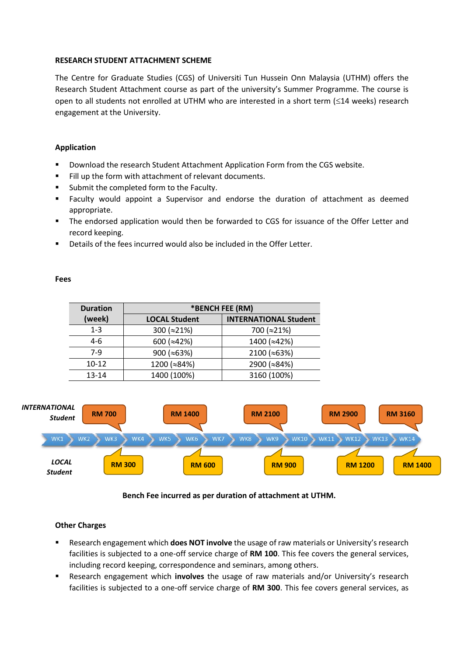## **RESEARCH STUDENT ATTACHMENT SCHEME**

The Centre for Graduate Studies (CGS) of Universiti Tun Hussein Onn Malaysia (UTHM) offers the Research Student Attachment course as part of the university's Summer Programme. The course is open to all students not enrolled at UTHM who are interested in a short term  $(\leq 14$  weeks) research engagement at the University.

## **Application**

- **Download the research Student Attachment Application Form from the CGS website.**
- Fill up the form with attachment of relevant documents.
- Submit the completed form to the Faculty.
- Faculty would appoint a Supervisor and endorse the duration of attachment as deemed appropriate.
- **The endorsed application would then be forwarded to CGS for issuance of the Offer Letter and** record keeping.
- Details of the fees incurred would also be included in the Offer Letter.

## **Fees**

| <b>Duration</b> | *BENCH FEE (RM)      |                              |
|-----------------|----------------------|------------------------------|
| (week)          | <b>LOCAL Student</b> | <b>INTERNATIONAL Student</b> |
| $1 - 3$         | 300 ( $\approx$ 21%) | 700 (≈21%)                   |
| $4-6$           | 600 ( $\approx$ 42%) | 1400 ( $\approx$ 42%)        |
| 7-9             | 900 ( $\approx$ 63%) | 2100 (~63%)                  |
| $10 - 12$       | 1200 (~84%)          | 2900 (~84%)                  |
| $13 - 14$       | 1400 (100%)          | 3160 (100%)                  |



# **Bench Fee incurred as per duration of attachment at UTHM.**

#### **Other Charges**

- Research engagement which **does NOT involve** the usage of raw materials or University's research facilities is subjected to a one-off service charge of **RM 100**. This fee covers the general services, including record keeping, correspondence and seminars, among others.
- Research engagement which **involves** the usage of raw materials and/or University's research facilities is subjected to a one-off service charge of **RM 300**. This fee covers general services, as